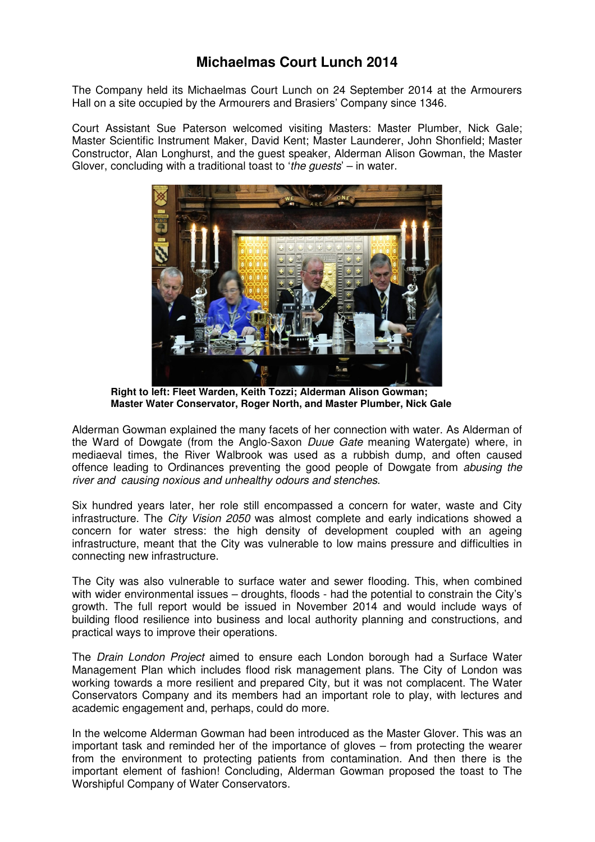## **Michaelmas Court Lunch 2014**

The Company held its Michaelmas Court Lunch on 24 September 2014 at the Armourers Hall on a site occupied by the Armourers and Brasiers' Company since 1346.

Court Assistant Sue Paterson welcomed visiting Masters: Master Plumber, Nick Gale; Master Scientific Instrument Maker, David Kent; Master Launderer, John Shonfield; Master Constructor, Alan Longhurst, and the guest speaker, Alderman Alison Gowman, the Master Glover, concluding with a traditional toast to 'the guests' – in water.



 **Right to left: Fleet Warden, Keith Tozzi; Alderman Alison Gowman; Master Water Conservator, Roger North, and Master Plumber, Nick Gale** 

Alderman Gowman explained the many facets of her connection with water. As Alderman of the Ward of Dowgate (from the Anglo-Saxon Duue Gate meaning Watergate) where, in mediaeval times, the River Walbrook was used as a rubbish dump, and often caused offence leading to Ordinances preventing the good people of Dowgate from abusing the river and causing noxious and unhealthy odours and stenches.

Six hundred years later, her role still encompassed a concern for water, waste and City infrastructure. The City Vision 2050 was almost complete and early indications showed a concern for water stress: the high density of development coupled with an ageing infrastructure, meant that the City was vulnerable to low mains pressure and difficulties in connecting new infrastructure.

The City was also vulnerable to surface water and sewer flooding. This, when combined with wider environmental issues – droughts, floods - had the potential to constrain the City's growth. The full report would be issued in November 2014 and would include ways of building flood resilience into business and local authority planning and constructions, and practical ways to improve their operations.

The Drain London Project aimed to ensure each London borough had a Surface Water Management Plan which includes flood risk management plans. The City of London was working towards a more resilient and prepared City, but it was not complacent. The Water Conservators Company and its members had an important role to play, with lectures and academic engagement and, perhaps, could do more.

In the welcome Alderman Gowman had been introduced as the Master Glover. This was an important task and reminded her of the importance of gloves – from protecting the wearer from the environment to protecting patients from contamination. And then there is the important element of fashion! Concluding, Alderman Gowman proposed the toast to The Worshipful Company of Water Conservators.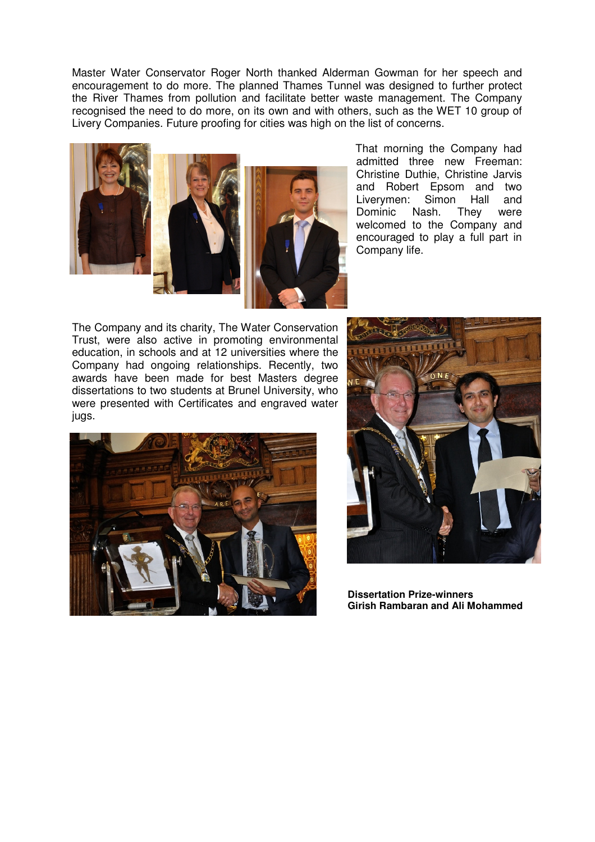Master Water Conservator Roger North thanked Alderman Gowman for her speech and encouragement to do more. The planned Thames Tunnel was designed to further protect the River Thames from pollution and facilitate better waste management. The Company recognised the need to do more, on its own and with others, such as the WET 10 group of Livery Companies. Future proofing for cities was high on the list of concerns.



 That morning the Company had admitted three new Freeman: Christine Duthie, Christine Jarvis and Robert Epsom and two Liverymen: Simon Hall and Dominic Nash. They were welcomed to the Company and encouraged to play a full part in Company life.

The Company and its charity, The Water Conservation Trust, were also active in promoting environmental education, in schools and at 12 universities where the Company had ongoing relationships. Recently, two awards have been made for best Masters degree dissertations to two students at Brunel University, who were presented with Certificates and engraved water jugs.





 **Dissertation Prize-winners Girish Rambaran and Ali Mohammed**